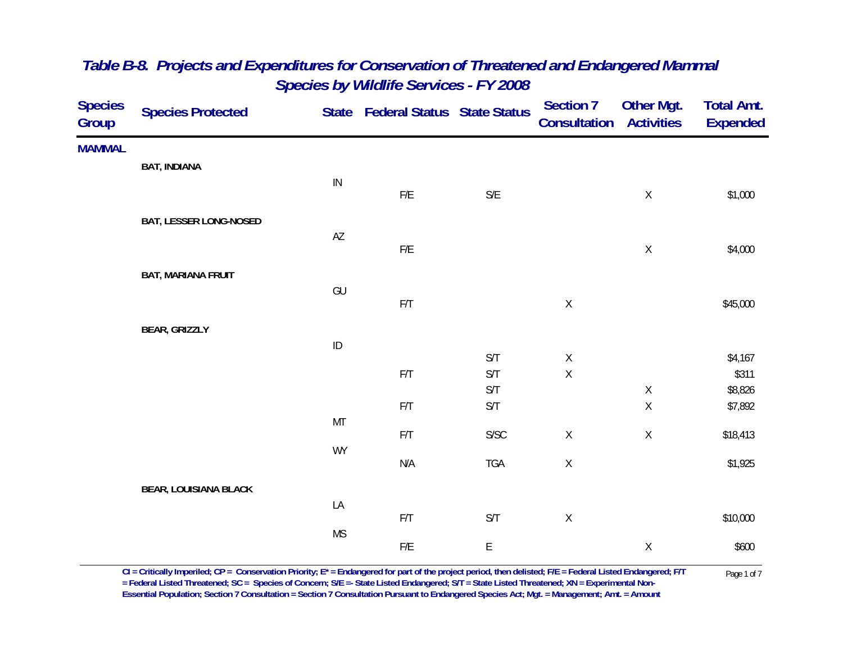| <b>Species</b><br>Group | <b>Species Protected</b>      |            | State Federal Status State Status |                                            | <b>Section 7</b><br><b>Consultation Activities</b> | Other Mgt.  | <b>Total Amt.</b><br><b>Expended</b> |
|-------------------------|-------------------------------|------------|-----------------------------------|--------------------------------------------|----------------------------------------------------|-------------|--------------------------------------|
| <b>MAMMAL</b>           |                               |            |                                   |                                            |                                                    |             |                                      |
|                         | <b>BAT, INDIANA</b>           |            |                                   |                                            |                                                    |             |                                      |
|                         |                               | ${\sf IN}$ | $\mathsf{F}/\mathsf{E}$           | $\mathsf{S}/\mathsf{E}$                    |                                                    | $\mathsf X$ | \$1,000                              |
|                         | <b>BAT, LESSER LONG-NOSED</b> |            |                                   |                                            |                                                    |             |                                      |
|                         |                               | AZ         |                                   |                                            |                                                    |             |                                      |
|                         |                               |            | F/E                               |                                            |                                                    | $\mathsf X$ | \$4,000                              |
|                         | <b>BAT, MARIANA FRUIT</b>     |            |                                   |                                            |                                                    |             |                                      |
|                         |                               | GU         | F/T                               |                                            | $\mathsf X$                                        |             | \$45,000                             |
|                         | <b>BEAR, GRIZZLY</b>          |            |                                   |                                            |                                                    |             |                                      |
|                         |                               | ID         |                                   |                                            |                                                    |             |                                      |
|                         |                               |            |                                   | S/T                                        | $\mathsf X$                                        |             | \$4,167                              |
|                         |                               |            | $\mathsf{F}/\mathsf{T}$           | $\mathsf{S}/\mathsf{T}$                    | $\mathsf X$                                        |             | \$311                                |
|                         |                               |            |                                   | S/T                                        |                                                    | $\mathsf X$ | \$8,826                              |
|                         |                               |            | F/T                               | S/T                                        |                                                    | $\mathsf X$ | \$7,892                              |
|                         |                               | MT         |                                   | ${\sf S/SC}$                               | $\mathsf X$                                        | $\mathsf X$ | \$18,413                             |
|                         |                               | <b>WY</b>  | $\mathsf{F}/\mathsf{T}$           |                                            |                                                    |             |                                      |
|                         |                               |            | N/A                               | TGA                                        | $\mathsf X$                                        |             | \$1,925                              |
|                         | <b>BEAR, LOUISIANA BLACK</b>  |            |                                   |                                            |                                                    |             |                                      |
|                         |                               | LA         |                                   |                                            |                                                    |             |                                      |
|                         |                               |            | F/T                               | S/T                                        | $\mathsf X$                                        |             | \$10,000                             |
|                         |                               | <b>MS</b>  | $\mathsf{F}/\mathsf{E}$           | $\mathsf{E}% _{0}\left( \mathsf{E}\right)$ |                                                    | $\mathsf X$ | \$600                                |
|                         |                               |            |                                   |                                            |                                                    |             |                                      |

CI = Critically Imperiled; CP = Conservation Priority; E\* = Endangered for part of the project period, then delisted; F/E = Federal Listed Endangered; F/T Page 1 of 7<br>Federal Listed Threatened; SC = Species of Concern; S/ **Essential Population; Section 7 Consultation = Section 7 Consultation Pursuant to Endangered Species Act; Mgt. = Management; Amt. = Amount**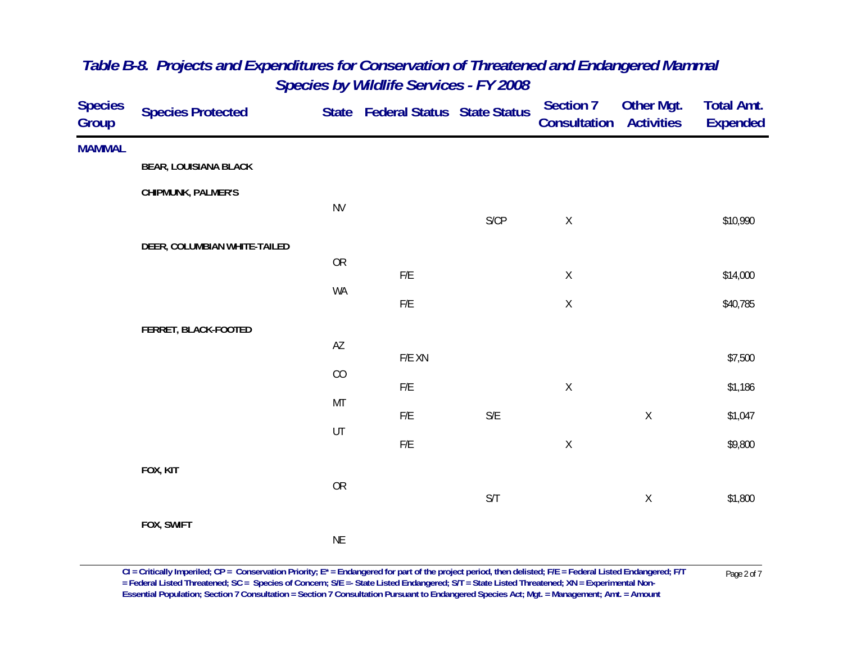| <b>Species</b><br>Group | <b>Species Protected</b>     |                        | State Federal Status State Status |                         | <b>Section 7</b><br>Consultation | Other Mgt.<br><b>Activities</b> | <b>Total Amt.</b><br><b>Expended</b> |
|-------------------------|------------------------------|------------------------|-----------------------------------|-------------------------|----------------------------------|---------------------------------|--------------------------------------|
| <b>MAMMAL</b>           |                              |                        |                                   |                         |                                  |                                 |                                      |
|                         | <b>BEAR, LOUISIANA BLACK</b> |                        |                                   |                         |                                  |                                 |                                      |
|                         | CHIPMUNK, PALMER'S           |                        |                                   |                         |                                  |                                 |                                      |
|                         |                              | <b>NV</b>              |                                   | S/CP                    | $\mathsf X$                      |                                 | \$10,990                             |
|                         | DEER, COLUMBIAN WHITE-TAILED |                        |                                   |                         |                                  |                                 |                                      |
|                         |                              | ${\sf OR}$             | F/E                               |                         | $\mathsf X$                      |                                 | \$14,000                             |
|                         |                              | WA                     | ${\sf F/E}$                       |                         | $\mathsf X$                      |                                 | \$40,785                             |
|                         | FERRET, BLACK-FOOTED         |                        |                                   |                         |                                  |                                 |                                      |
|                         |                              | $\mathsf{A}\mathsf{Z}$ | $F/E$ XN                          |                         |                                  |                                 |                                      |
|                         |                              | $\rm CO$               |                                   |                         |                                  |                                 | \$7,500                              |
|                         |                              | MT                     | F/E                               |                         | $\mathsf X$                      |                                 | \$1,186                              |
|                         |                              |                        | F/E                               | S/E                     |                                  | $\mathsf X$                     | \$1,047                              |
|                         |                              | UT                     | ${\sf F/E}$                       |                         | $\mathsf X$                      |                                 | \$9,800                              |
|                         | FOX, KIT                     |                        |                                   |                         |                                  |                                 |                                      |
|                         |                              | ${\sf OR}$             |                                   | $\mathsf{S}/\mathsf{T}$ |                                  | $\mathsf X$                     | \$1,800                              |
|                         | FOX, SWIFT                   |                        |                                   |                         |                                  |                                 |                                      |
|                         |                              | <b>NE</b>              |                                   |                         |                                  |                                 |                                      |

 $CI = Critically$  Imperiled;  $CP = \text{Conservation Priority}; E^* = \text{Endangered for part of the project period, then deleted; F/E = Federal listed Endanged; F/T = \text{Federal Listed Thread-Thread: F/T = \text{Pageral Thread-Thread: SC} = \text{Species of Concern; S/E} = \text{State Listed Endanged; S/T = State Listed Thread-Thread: N/N = Experimental Non-$ **Essential Population; Section 7 Consultation = Section 7 Consultation Pursuant to Endangered Species Act; Mgt. = Management; Amt. = Amount**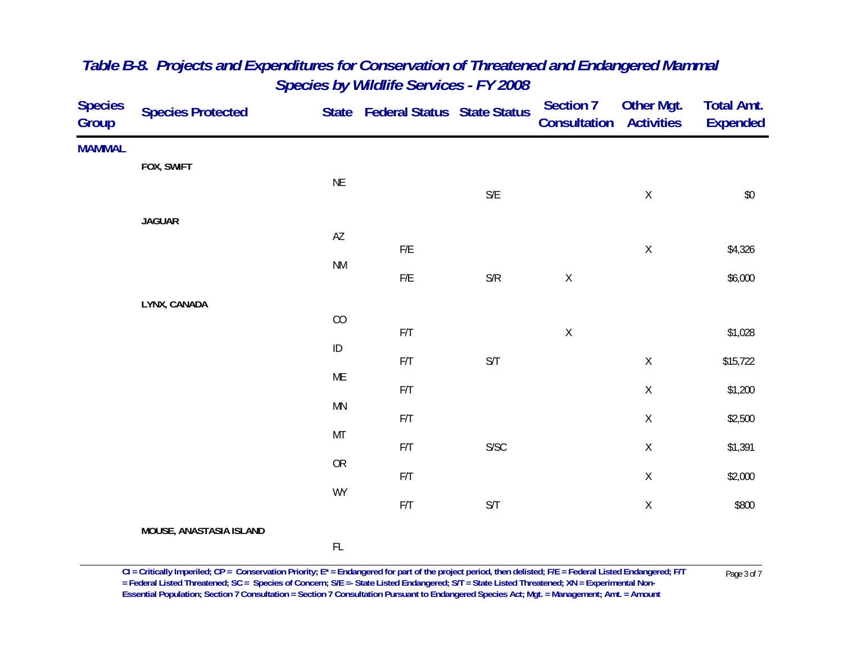| <b>Species</b><br>Group | <b>Species Protected</b> |                        | State Federal Status State Status |                                                                 | <b>Section 7</b><br>Consultation | Other Mgt.<br><b>Activities</b> | <b>Total Amt.</b><br><b>Expended</b> |
|-------------------------|--------------------------|------------------------|-----------------------------------|-----------------------------------------------------------------|----------------------------------|---------------------------------|--------------------------------------|
| <b>MAMMAL</b>           |                          |                        |                                   |                                                                 |                                  |                                 |                                      |
|                         | FOX, SWIFT               | $\sf NE$               |                                   |                                                                 |                                  |                                 |                                      |
|                         |                          |                        |                                   | $\mathsf{S}/\mathsf{E}$                                         |                                  | $\mathsf X$                     | $\$0$                                |
|                         | <b>JAGUAR</b>            |                        |                                   |                                                                 |                                  |                                 |                                      |
|                         |                          | $\mathsf{A}\mathsf{Z}$ | ${\sf F/E}$                       |                                                                 |                                  | $\mathsf X$                     | \$4,326                              |
|                         |                          | <b>NM</b>              |                                   |                                                                 |                                  |                                 |                                      |
|                         |                          |                        | ${\sf F/E}$                       | $\ensuremath{\mathsf{S}}\xspace/\ensuremath{\mathsf{R}}\xspace$ | $\mathsf X$                      |                                 | \$6,000                              |
|                         | LYNX, CANADA             | $\rm CO$               |                                   |                                                                 |                                  |                                 |                                      |
|                         |                          |                        | $\mathsf{F}/\mathsf{T}$           |                                                                 | $\mathsf X$                      |                                 | \$1,028                              |
|                         |                          | $\sf ID$               | $\mathsf{F}/\mathsf{T}$           | $\mathsf{S}/\mathsf{T}$                                         |                                  | $\mathsf X$                     | \$15,722                             |
|                         |                          | ME                     |                                   |                                                                 |                                  |                                 |                                      |
|                         |                          | MN                     | $\mathsf{F}/\mathsf{T}$           |                                                                 |                                  | $\mathsf X$                     | \$1,200                              |
|                         |                          |                        | $\mathsf{F}/\mathsf{T}$           |                                                                 |                                  | $\mathsf X$                     | \$2,500                              |
|                         |                          | MT                     | $\mathsf{F}/\mathsf{T}$           | ${\sf S/SC}$                                                    |                                  | $\mathsf X$                     | \$1,391                              |
|                         |                          | ${\sf OR}$             |                                   |                                                                 |                                  |                                 |                                      |
|                         |                          | <b>WY</b>              | $\mathsf{F}/\mathsf{T}$           |                                                                 |                                  | $\mathsf X$                     | \$2,000                              |
|                         |                          |                        | $\mathsf{F}/\mathsf{T}$           | $\mathsf{S}/\mathsf{T}$                                         |                                  | $\mathsf X$                     | \$800                                |
|                         | MOUSE, ANASTASIA ISLAND  |                        |                                   |                                                                 |                                  |                                 |                                      |
|                         |                          | $\mathsf{FL}$          |                                   |                                                                 |                                  |                                 |                                      |

CI = Critically Imperiled; CP = Conservation Priority; E\* = Endangered for part of the project period, then delisted; F/E = Federal Listed Endangered; F/T Page 3 of 7<br>= Federal Listed Threatened; SC = Species of Concern; **Essential Population; Section 7 Consultation = Section 7 Consultation Pursuant to Endangered Species Act; Mgt. = Management; Amt. = Amount**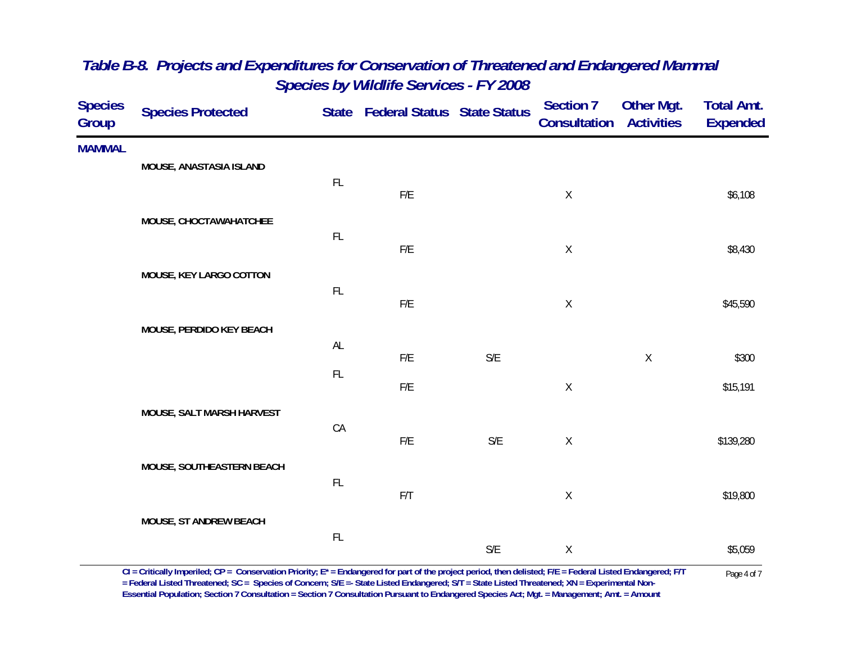| <b>Species</b><br>Group | <b>Species Protected</b>  |               | State Federal Status State Status |                         | <b>Section 7</b><br><b>Consultation Activities</b> | Other Mgt.  | <b>Total Amt.</b><br><b>Expended</b> |
|-------------------------|---------------------------|---------------|-----------------------------------|-------------------------|----------------------------------------------------|-------------|--------------------------------------|
| <b>MAMMAL</b>           |                           |               |                                   |                         |                                                    |             |                                      |
|                         | MOUSE, ANASTASIA ISLAND   | FL            | $F/E$                             |                         |                                                    |             |                                      |
|                         | MOUSE, CHOCTAWAHATCHEE    |               |                                   |                         | $\sf X$                                            |             | \$6,108                              |
|                         |                           | FL            | F/E                               |                         | $\mathsf X$                                        |             | \$8,430                              |
|                         | MOUSE, KEY LARGO COTTON   |               |                                   |                         |                                                    |             |                                      |
|                         |                           | FL            | F/E                               |                         | $\mathsf X$                                        |             | \$45,590                             |
|                         | MOUSE, PERDIDO KEY BEACH  |               |                                   |                         |                                                    |             |                                      |
|                         |                           | $\mathsf{AL}$ | F/E                               | S/E                     |                                                    | $\mathsf X$ | \$300                                |
|                         |                           | FL            | F/E                               |                         | $\mathsf X$                                        |             | \$15,191                             |
|                         | MOUSE, SALT MARSH HARVEST |               |                                   |                         |                                                    |             |                                      |
|                         |                           | CA            | $\mathsf{F}/\mathsf{E}$           | $\mathsf{S}/\mathsf{E}$ | $\mathsf X$                                        |             | \$139,280                            |
|                         | MOUSE, SOUTHEASTERN BEACH |               |                                   |                         |                                                    |             |                                      |
|                         |                           | FL            | F/T                               |                         | $\mathsf X$                                        |             | \$19,800                             |
|                         | MOUSE, ST ANDREW BEACH    |               |                                   |                         |                                                    |             |                                      |
|                         |                           | $\mathsf{FL}$ |                                   | $\mathsf{S}/\mathsf{E}$ | $\mathsf X$                                        |             | \$5,059                              |

 $CI = Critically$  Imperiled;  $CP = \text{Conservation Priority}; E^* = \text{Endangered for part of the project period, then deleted; F/E = Federal listed Endanged; F/T = \text{Federal Listed Thread-Thread: F/T = \text{Pageral Thread-Thread: SC} = \text{Species of Concern; S/E} = \text{State Listed Endanged; S/T = State Listed Thread-Thread: N/N = Experimental Non-$ **Essential Population; Section 7 Consultation = Section 7 Consultation Pursuant to Endangered Species Act; Mgt. = Management; Amt. = Amount**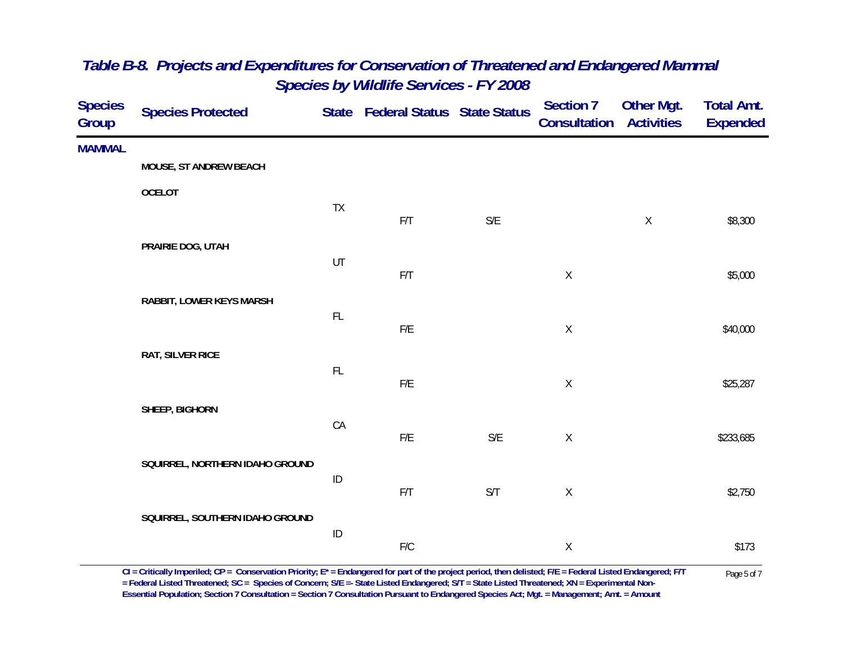| <b>Species</b><br>Group | <b>Species Protected</b>        |               | State Federal Status State Status |                         | <b>Section 7</b><br><b>Consultation Activities</b> | <b>Other Mgt.</b> | <b>Total Amt.</b><br><b>Expended</b> |
|-------------------------|---------------------------------|---------------|-----------------------------------|-------------------------|----------------------------------------------------|-------------------|--------------------------------------|
| <b>MAMMAL</b>           |                                 |               |                                   |                         |                                                    |                   |                                      |
|                         | MOUSE, ST ANDREW BEACH          |               |                                   |                         |                                                    |                   |                                      |
|                         | <b>OCELOT</b>                   |               |                                   |                         |                                                    |                   |                                      |
|                         |                                 | TX            | F/T                               | S/E                     |                                                    | $\mathsf X$       | \$8,300                              |
|                         | PRAIRIE DOG, UTAH               |               |                                   |                         |                                                    |                   |                                      |
|                         |                                 | UT            | F/T                               |                         | $\mathsf X$                                        |                   | \$5,000                              |
|                         | RABBIT, LOWER KEYS MARSH        |               |                                   |                         |                                                    |                   |                                      |
|                         |                                 | $\mathsf{FL}$ | $\mathsf{F}/\mathsf{E}$           |                         | $\mathsf X$                                        |                   | \$40,000                             |
|                         |                                 |               |                                   |                         |                                                    |                   |                                      |
|                         | RAT, SILVER RICE                | $\mathsf{FL}$ |                                   |                         |                                                    |                   |                                      |
|                         |                                 |               | F/E                               |                         | $\mathsf X$                                        |                   | \$25,287                             |
|                         | SHEEP, BIGHORN                  |               |                                   |                         |                                                    |                   |                                      |
|                         |                                 | CA            | ${\sf F/E}$                       | $\mathsf{S}/\mathsf{E}$ | $\mathsf X$                                        |                   | \$233,685                            |
|                         | SQUIRREL, NORTHERN IDAHO GROUND |               |                                   |                         |                                                    |                   |                                      |
|                         |                                 | $\sf ID$      |                                   |                         |                                                    |                   |                                      |
|                         |                                 |               | F/T                               | S/T                     | $\mathsf X$                                        |                   | \$2,750                              |
|                         | SQUIRREL, SOUTHERN IDAHO GROUND |               |                                   |                         |                                                    |                   |                                      |
|                         |                                 | $\sf ID$      | ${\sf F/C}$                       |                         | $\mathsf X$                                        |                   | \$173                                |
|                         |                                 |               |                                   |                         |                                                    |                   |                                      |

 $CI = Critically$  Imperiled;  $CP = \text{Conservation Priority}; E^* = \text{Endangered for part of the project period, then deleted; F/E = Federal Listed Endanged; F/T  
= Federal Listed Threated, SC = Species of Concern; S/E = State Listed Endanged; S/T = State Listed Threated; XN = Experimental Non-$ **Essential Population; Section 7 Consultation = Section 7 Consultation Pursuant to Endangered Species Act; Mgt. = Management; Amt. = Amount**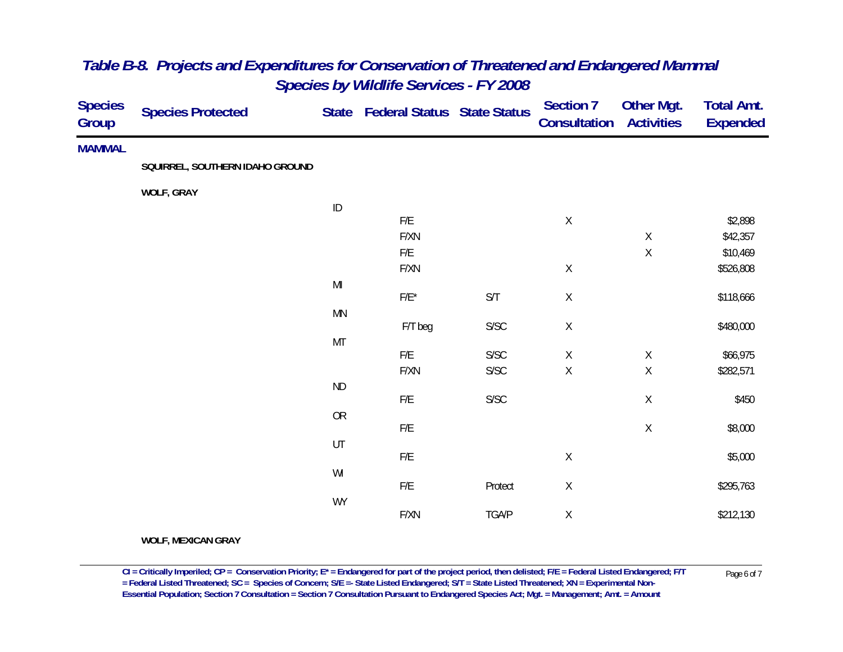| <b>Species</b><br>Group | <b>Species Protected</b>        |               | State Federal Status State Status |                         | <b>Section 7</b><br><b>Consultation</b> | <b>Other Mgt.</b><br><b>Activities</b> | <b>Total Amt.</b><br><b>Expended</b> |
|-------------------------|---------------------------------|---------------|-----------------------------------|-------------------------|-----------------------------------------|----------------------------------------|--------------------------------------|
| <b>MAMMAL</b>           |                                 |               |                                   |                         |                                         |                                        |                                      |
|                         | SQUIRREL, SOUTHERN IDAHO GROUND |               |                                   |                         |                                         |                                        |                                      |
|                         | <b>WOLF, GRAY</b>               |               |                                   |                         |                                         |                                        |                                      |
|                         |                                 | $\sf ID$      |                                   |                         |                                         |                                        |                                      |
|                         |                                 |               | F/E                               |                         | $\mathsf X$                             |                                        | \$2,898                              |
|                         |                                 |               | F/XN                              |                         |                                         | $\mathsf X$                            | \$42,357                             |
|                         |                                 |               | F/E                               |                         |                                         | $\mathsf X$                            | \$10,469                             |
|                         |                                 |               | F/XN                              |                         | $\mathsf X$                             |                                        | \$526,808                            |
|                         |                                 | $\mathsf{MI}$ |                                   |                         |                                         |                                        |                                      |
|                         |                                 |               | $F/E^*$                           | $\mathsf{S}/\mathsf{T}$ | $\mathsf X$                             |                                        | \$118,666                            |
|                         |                                 | MN            |                                   |                         |                                         |                                        |                                      |
|                         |                                 |               | F/T beg                           | S/SC                    | Χ                                       |                                        | \$480,000                            |
|                         |                                 | $\mathsf{MT}$ |                                   |                         |                                         |                                        |                                      |
|                         |                                 |               | F/E                               | S/SC                    | $\mathsf X$                             | $\mathsf X$                            | \$66,975                             |
|                         |                                 |               | F/XN                              | S/SC                    | $\mathsf X$                             | $\mathsf X$                            | \$282,571                            |
|                         |                                 | ND            |                                   |                         |                                         |                                        |                                      |
|                         |                                 |               | F/E                               | ${\sf S/SC}$            |                                         | $\mathsf X$                            | \$450                                |
|                         |                                 | ${\sf OR}$    |                                   |                         |                                         |                                        |                                      |
|                         |                                 |               | F/E                               |                         |                                         | $\mathsf X$                            | \$8,000                              |
|                         |                                 | UT            |                                   |                         |                                         |                                        |                                      |
|                         |                                 |               | F/E                               |                         | $\mathsf X$                             |                                        | \$5,000                              |
|                         |                                 | WI            |                                   |                         |                                         |                                        |                                      |
|                         |                                 |               | F/E                               | Protect                 | $\mathsf X$                             |                                        | \$295,763                            |
|                         |                                 | WY            | F/XN                              | TGA/P                   | Χ                                       |                                        | \$212,130                            |
|                         |                                 |               |                                   |                         |                                         |                                        |                                      |

**WOLF, MEXICAN GRAY**

 $CI = Critically$  Imperiled;  $CP = \text{Conservation Priority}; E^* = \text{Endangered for part of the project period, then deleted; F/E = Federal listed Endanged; F/T = \text{Federal Listed Thread-Thread: F/T = \text{Pageral (F/T)} = \text{Page 6 of 7})}$ **Essential Population; Section 7 Consultation = Section 7 Consultation Pursuant to Endangered Species Act; Mgt. = Management; Amt. = Amount**